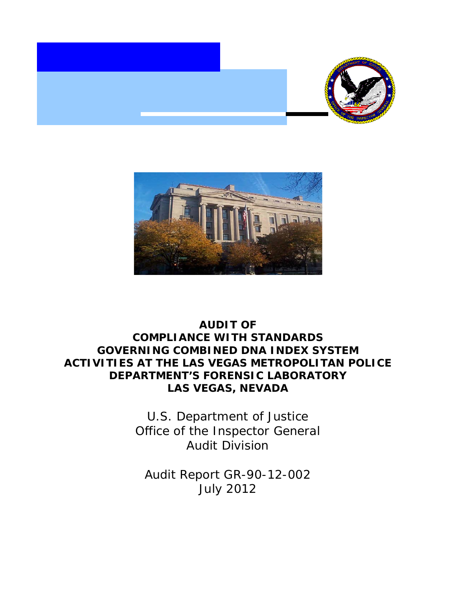



# **AUDIT OF COMPLIANCE WITH STANDARDS GOVERNING COMBINED DNA INDEX SYSTEM ACTIVITIES AT THE LAS VEGAS METROPOLITAN POLICE DEPARTMENT'S FORENSIC LABORATORY LAS VEGAS, NEVADA**

U.S. Department of Justice Office of the Inspector General Audit Division

Audit Report GR-90-12-002 July 2012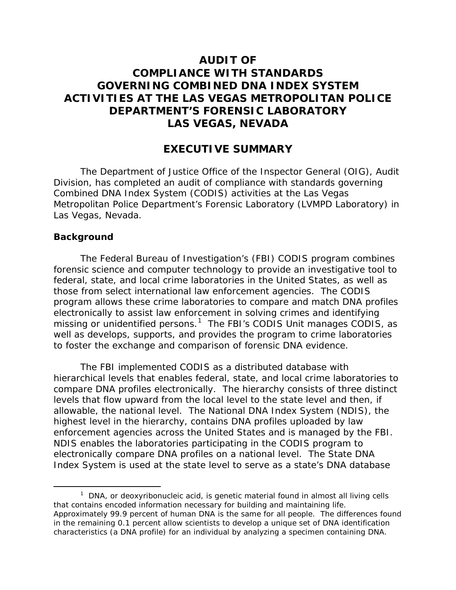## **AUDIT OF COMPLIANCE WITH STANDARDS GOVERNING COMBINED DNA INDEX SYSTEM ACTIVITIES AT THE LAS VEGAS METROPOLITAN POLICE DEPARTMENT'S FORENSIC LABORATORY LAS VEGAS, NEVADA**

## **EXECUTIVE SUMMARY**

The Department of Justice Office of the Inspector General (OIG), Audit Division, has completed an audit of compliance with standards governing Combined DNA Index System (CODIS) activities at the Las Vegas Metropolitan Police Department's Forensic Laboratory (LVMPD Laboratory) in Las Vegas, Nevada.

#### **Background**

The Federal Bureau of Investigation's (FBI) CODIS program combines forensic science and computer technology to provide an investigative tool to federal, state, and local crime laboratories in the United States, as well as those from select international law enforcement agencies. The CODIS program allows these crime laboratories to compare and match DNA profiles electronically to assist law enforcement in solving crimes and identifying missing or unidentified persons.<sup>[1](#page-1-0)</sup> The FBI's CODIS Unit manages CODIS, as well as develops, supports, and provides the program to crime laboratories to foster the exchange and comparison of forensic DNA evidence.

The FBI implemented CODIS as a distributed database with hierarchical levels that enables federal, state, and local crime laboratories to compare DNA profiles electronically. The hierarchy consists of three distinct levels that flow upward from the local level to the state level and then, if allowable, the national level. The National DNA Index System (NDIS), the highest level in the hierarchy, contains DNA profiles uploaded by law enforcement agencies across the United States and is managed by the FBI. NDIS enables the laboratories participating in the CODIS program to electronically compare DNA profiles on a national level. The State DNA Index System is used at the state level to serve as a state's DNA database

<span id="page-1-0"></span> $1$  DNA, or deoxyribonucleic acid, is genetic material found in almost all living cells that contains encoded information necessary for building and maintaining life. Approximately 99.9 percent of human DNA is the same for all people. The differences found in the remaining 0.1 percent allow scientists to develop a unique set of DNA identification characteristics (a DNA profile) for an individual by analyzing a specimen containing DNA.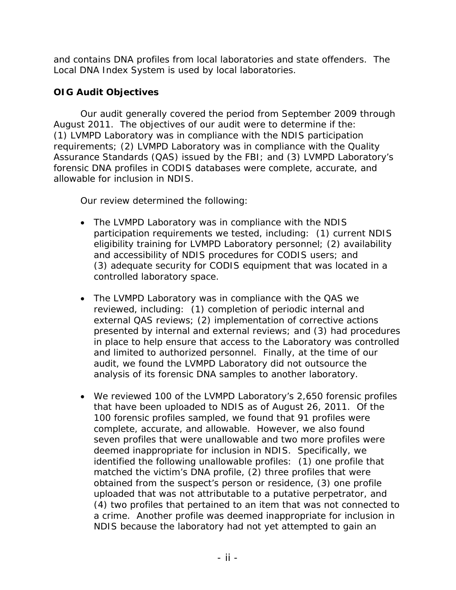and contains DNA profiles from local laboratories and state offenders. The Local DNA Index System is used by local laboratories.

## **OIG Audit Objectives**

Our audit generally covered the period from September 2009 through August 2011. The objectives of our audit were to determine if the: (1) LVMPD Laboratory was in compliance with the NDIS participation requirements; (2) LVMPD Laboratory was in compliance with the Quality Assurance Standards (QAS) issued by the FBI; and (3) LVMPD Laboratory's forensic DNA profiles in CODIS databases were complete, accurate, and allowable for inclusion in NDIS.

Our review determined the following:

- The LVMPD Laboratory was in compliance with the NDIS participation requirements we tested, including: (1) current NDIS eligibility training for LVMPD Laboratory personnel; (2) availability and accessibility of NDIS procedures for CODIS users; and (3) adequate security for CODIS equipment that was located in a controlled laboratory space.
- The LVMPD Laboratory was in compliance with the QAS we reviewed, including: (1) completion of periodic internal and external QAS reviews; (2) implementation of corrective actions presented by internal and external reviews; and (3) had procedures in place to help ensure that access to the Laboratory was controlled and limited to authorized personnel. Finally, at the time of our audit, we found the LVMPD Laboratory did not outsource the analysis of its forensic DNA samples to another laboratory.
- We reviewed 100 of the LVMPD Laboratory's 2,650 forensic profiles that have been uploaded to NDIS as of August 26, 2011. Of the 100 forensic profiles sampled, we found that 91 profiles were complete, accurate, and allowable. However, we also found seven profiles that were unallowable and two more profiles were deemed inappropriate for inclusion in NDIS. Specifically, we identified the following unallowable profiles: (1) one profile that matched the victim's DNA profile, (2) three profiles that were obtained from the suspect's person or residence, (3) one profile uploaded that was not attributable to a putative perpetrator, and (4) two profiles that pertained to an item that was not connected to a crime. Another profile was deemed inappropriate for inclusion in NDIS because the laboratory had not yet attempted to gain an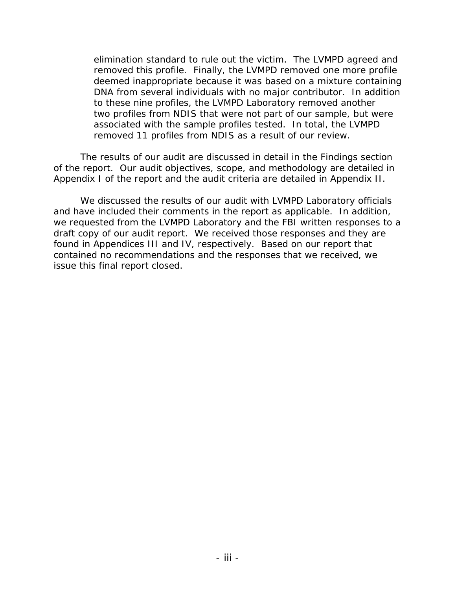elimination standard to rule out the victim. The LVMPD agreed and removed this profile. Finally, the LVMPD removed one more profile deemed inappropriate because it was based on a mixture containing DNA from several individuals with no major contributor. In addition to these nine profiles, the LVMPD Laboratory removed another two profiles from NDIS that were not part of our sample, but were associated with the sample profiles tested. In total, the LVMPD removed 11 profiles from NDIS as a result of our review.

The results of our audit are discussed in detail in the Findings section of the report. Our audit objectives, scope, and methodology are detailed in Appendix I of the report and the audit criteria are detailed in Appendix II.

We discussed the results of our audit with LVMPD Laboratory officials and have included their comments in the report as applicable. In addition, we requested from the LVMPD Laboratory and the FBI written responses to a draft copy of our audit report. We received those responses and they are found in Appendices III and IV, respectively. Based on our report that contained no recommendations and the responses that we received, we issue this final report closed.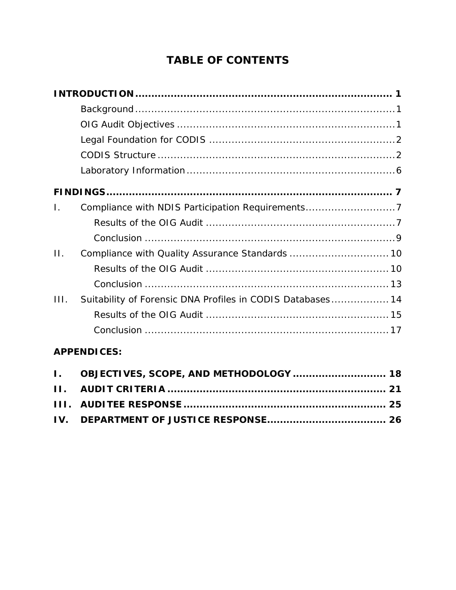# **TABLE OF CONTENTS**

| $\mathbf{L}$ | Compliance with NDIS Participation Requirements7           |  |
|--------------|------------------------------------------------------------|--|
|              |                                                            |  |
|              |                                                            |  |
| $\Pi$ .      |                                                            |  |
|              |                                                            |  |
|              |                                                            |  |
| III.         | Suitability of Forensic DNA Profiles in CODIS Databases 14 |  |
|              |                                                            |  |
|              |                                                            |  |
|              |                                                            |  |

## **APPENDICES:**

| I. OBJECTIVES, SCOPE, AND METHODOLOGY  18 |  |
|-------------------------------------------|--|
|                                           |  |
|                                           |  |
|                                           |  |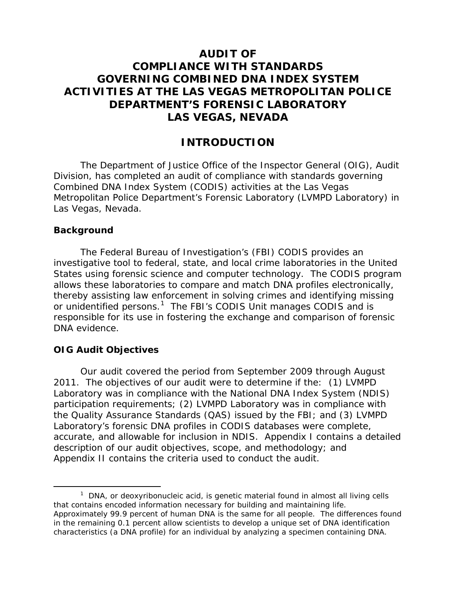## **AUDIT OF COMPLIANCE WITH STANDARDS GOVERNING COMBINED DNA INDEX SYSTEM ACTIVITIES AT THE LAS VEGAS METROPOLITAN POLICE DEPARTMENT'S FORENSIC LABORATORY LAS VEGAS, NEVADA**

## **INTRODUCTION**

The Department of Justice Office of the Inspector General (OIG), Audit Division, has completed an audit of compliance with standards governing Combined DNA Index System (CODIS) activities at the Las Vegas Metropolitan Police Department's Forensic Laboratory (LVMPD Laboratory) in Las Vegas, Nevada.

#### **Background**

The Federal Bureau of Investigation's (FBI) CODIS provides an investigative tool to federal, state, and local crime laboratories in the United States using forensic science and computer technology. The CODIS program allows these laboratories to compare and match DNA profiles electronically, thereby assisting law enforcement in solving crimes and identifying missing or unidentified persons.<sup>[1](#page-5-0)</sup> The FBI's CODIS Unit manages CODIS and is responsible for its use in fostering the exchange and comparison of forensic DNA evidence.

#### **OIG Audit Objectives**

Our audit covered the period from September 2009 through August 2011. The objectives of our audit were to determine if the: (1) LVMPD Laboratory was in compliance with the National DNA Index System (NDIS) participation requirements; (2) LVMPD Laboratory was in compliance with the Quality Assurance Standards (QAS) issued by the FBI; and (3) LVMPD Laboratory's forensic DNA profiles in CODIS databases were complete, accurate, and allowable for inclusion in NDIS. Appendix I contains a detailed description of our audit objectives, scope, and methodology; and Appendix II contains the criteria used to conduct the audit.

<span id="page-5-0"></span> $1$  DNA, or deoxyribonucleic acid, is genetic material found in almost all living cells that contains encoded information necessary for building and maintaining life. Approximately 99.9 percent of human DNA is the same for all people. The differences found in the remaining 0.1 percent allow scientists to develop a unique set of DNA identification characteristics (a DNA profile) for an individual by analyzing a specimen containing DNA.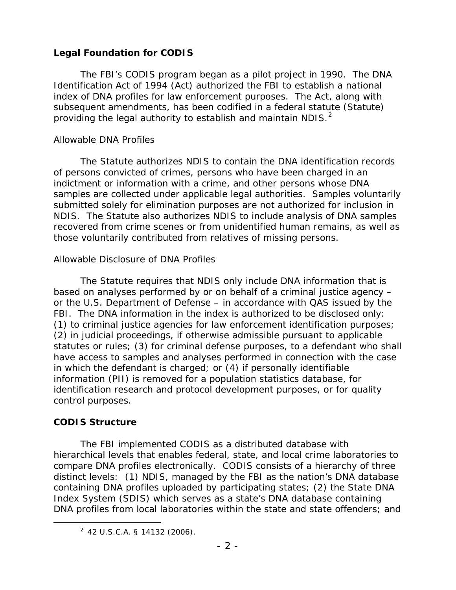## **Legal Foundation for CODIS**

The FBI's CODIS program began as a pilot project in 1990. The DNA Identification Act of 1994 (Act) authorized the FBI to establish a national index of DNA profiles for law enforcement purposes. The Act, along with subsequent amendments, has been codified in a federal statute (Statute) providing the legal authority to establish and maintain NDIS. $<sup>2</sup>$  $<sup>2</sup>$  $<sup>2</sup>$ </sup>

## *Allowable DNA Profiles*

The Statute authorizes NDIS to contain the DNA identification records of persons convicted of crimes, persons who have been charged in an indictment or information with a crime, and other persons whose DNA samples are collected under applicable legal authorities. Samples voluntarily submitted solely for elimination purposes are not authorized for inclusion in NDIS. The Statute also authorizes NDIS to include analysis of DNA samples recovered from crime scenes or from unidentified human remains, as well as those voluntarily contributed from relatives of missing persons.

## *Allowable Disclosure of DNA Profiles*

The Statute requires that NDIS only include DNA information that is based on analyses performed by or on behalf of a criminal justice agency – or the U.S. Department of Defense – in accordance with QAS issued by the FBI. The DNA information in the index is authorized to be disclosed only: (1) to criminal justice agencies for law enforcement identification purposes; (2) in judicial proceedings, if otherwise admissible pursuant to applicable statutes or rules; (3) for criminal defense purposes, to a defendant who shall have access to samples and analyses performed in connection with the case in which the defendant is charged; or (4) if personally identifiable information (PII) is removed for a population statistics database, for identification research and protocol development purposes, or for quality control purposes.

## **CODIS Structure**

The FBI implemented CODIS as a distributed database with hierarchical levels that enables federal, state, and local crime laboratories to compare DNA profiles electronically. CODIS consists of a hierarchy of three distinct levels: (1) NDIS, managed by the FBI as the nation's DNA database containing DNA profiles uploaded by participating states; (2) the State DNA Index System (SDIS) which serves as a state's DNA database containing DNA profiles from local laboratories within the state and state offenders; and

<span id="page-6-0"></span> $\overline{\phantom{a}}$  2  $2$  42 U.S.C.A. § 14132 (2006).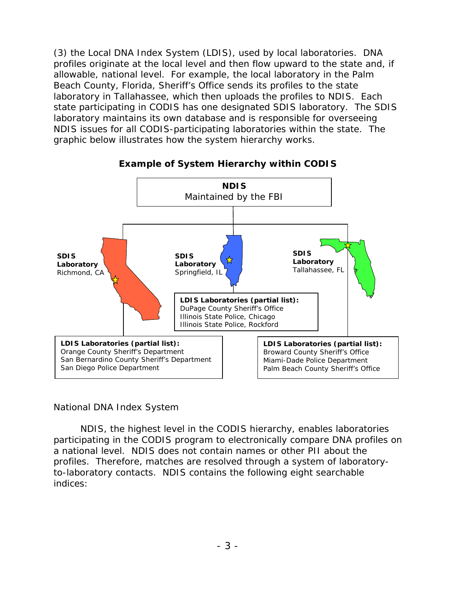(3) the Local DNA Index System (LDIS), used by local laboratories. DNA profiles originate at the local level and then flow upward to the state and, if allowable, national level. For example, the local laboratory in the Palm Beach County, Florida, Sheriff's Office sends its profiles to the state laboratory in Tallahassee, which then uploads the profiles to NDIS. Each state participating in CODIS has one designated SDIS laboratory. The SDIS laboratory maintains its own database and is responsible for overseeing NDIS issues for all CODIS-participating laboratories within the state. The graphic below illustrates how the system hierarchy works.



## **Example of System Hierarchy within CODIS**

#### *National DNA Index System*

NDIS, the highest level in the CODIS hierarchy, enables laboratories participating in the CODIS program to electronically compare DNA profiles on a national level. NDIS does not contain names or other PII about the profiles. Therefore, matches are resolved through a system of laboratoryto-laboratory contacts. NDIS contains the following eight searchable indices: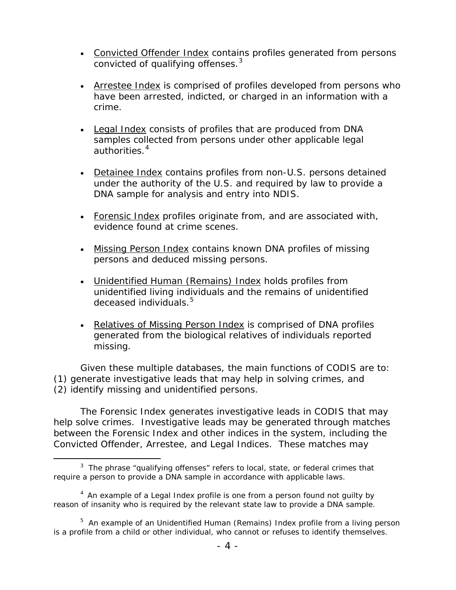- Convicted Offender Index contains profiles generated from persons convicted of qualifying offenses.<sup>[3](#page-8-0)</sup>
- Arrestee Index is comprised of profiles developed from persons who have been arrested, indicted, or charged in an information with a crime.
- Legal Index consists of profiles that are produced from DNA samples collected from persons under other applicable legal authorities.<sup>[4](#page-8-1)</sup>
- Detainee Index contains profiles from non-U.S. persons detained under the authority of the U.S. and required by law to provide a DNA sample for analysis and entry into NDIS.
- Forensic Index profiles originate from, and are associated with, evidence found at crime scenes.
- Missing Person Index contains known DNA profiles of missing persons and deduced missing persons.
- Unidentified Human (Remains) Index holds profiles from unidentified living individuals and the remains of unidentified deceased individuals.<sup>[5](#page-8-2)</sup>
- Relatives of Missing Person Index is comprised of DNA profiles generated from the biological relatives of individuals reported missing.

Given these multiple databases, the main functions of CODIS are to: (1) generate investigative leads that may help in solving crimes, and (2) identify missing and unidentified persons.

The Forensic Index generates investigative leads in CODIS that may help solve crimes. Investigative leads may be generated through matches between the Forensic Index and other indices in the system, including the Convicted Offender, Arrestee, and Legal Indices. These matches may

<span id="page-8-0"></span> $\overline{\phantom{a}}$  3  $3$  The phrase "qualifying offenses" refers to local, state, or federal crimes that require a person to provide a DNA sample in accordance with applicable laws.

<span id="page-8-1"></span><sup>&</sup>lt;sup>4</sup> An example of a Legal Index profile is one from a person found not guilty by reason of insanity who is required by the relevant state law to provide a DNA sample.

<span id="page-8-2"></span><sup>&</sup>lt;sup>5</sup> An example of an Unidentified Human (Remains) Index profile from a living person is a profile from a child or other individual, who cannot or refuses to identify themselves.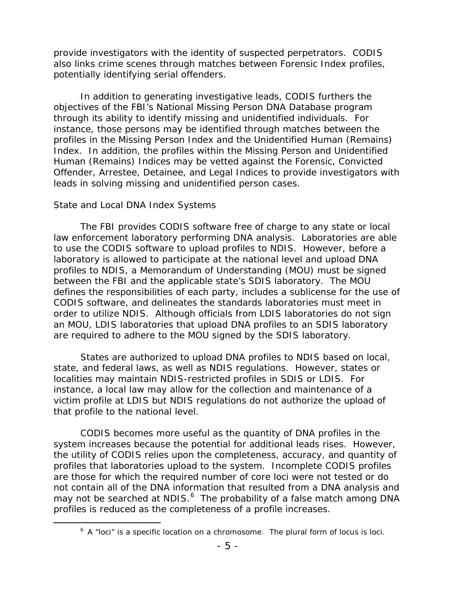provide investigators with the identity of suspected perpetrators. CODIS also links crime scenes through matches between Forensic Index profiles, potentially identifying serial offenders.

In addition to generating investigative leads, CODIS furthers the objectives of the FBI's National Missing Person DNA Database program through its ability to identify missing and unidentified individuals. For instance, those persons may be identified through matches between the profiles in the Missing Person Index and the Unidentified Human (Remains) Index. In addition, the profiles within the Missing Person and Unidentified Human (Remains) Indices may be vetted against the Forensic, Convicted Offender, Arrestee, Detainee, and Legal Indices to provide investigators with leads in solving missing and unidentified person cases.

#### *State and Local DNA Index Systems*

The FBI provides CODIS software free of charge to any state or local law enforcement laboratory performing DNA analysis. Laboratories are able to use the CODIS software to upload profiles to NDIS. However, before a laboratory is allowed to participate at the national level and upload DNA profiles to NDIS, a Memorandum of Understanding (MOU) must be signed between the FBI and the applicable state's SDIS laboratory. The MOU defines the responsibilities of each party, includes a sublicense for the use of CODIS software, and delineates the standards laboratories must meet in order to utilize NDIS. Although officials from LDIS laboratories do not sign an MOU, LDIS laboratories that upload DNA profiles to an SDIS laboratory are required to adhere to the MOU signed by the SDIS laboratory.

States are authorized to upload DNA profiles to NDIS based on local, state, and federal laws, as well as NDIS regulations. However, states or localities may maintain NDIS-restricted profiles in SDIS or LDIS. For instance, a local law may allow for the collection and maintenance of a victim profile at LDIS but NDIS regulations do not authorize the upload of that profile to the national level.

CODIS becomes more useful as the quantity of DNA profiles in the system increases because the potential for additional leads rises. However, the utility of CODIS relies upon the completeness, accuracy, and quantity of profiles that laboratories upload to the system. Incomplete CODIS profiles are those for which the required number of core loci were not tested or do not contain all of the DNA information that resulted from a DNA analysis and may not be searched at NDIS. $^6$  $^6$  The probability of a false match among DNA profiles is reduced as the completeness of a profile increases.

<span id="page-9-0"></span> $6$  A "loci" is a specific location on a chromosome. The plural form of locus is loci.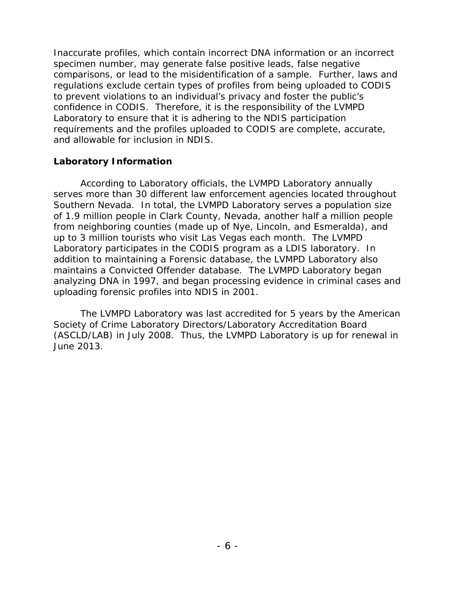Inaccurate profiles, which contain incorrect DNA information or an incorrect specimen number, may generate false positive leads, false negative comparisons, or lead to the misidentification of a sample. Further, laws and regulations exclude certain types of profiles from being uploaded to CODIS to prevent violations to an individual's privacy and foster the public's confidence in CODIS. Therefore, it is the responsibility of the LVMPD Laboratory to ensure that it is adhering to the NDIS participation requirements and the profiles uploaded to CODIS are complete, accurate, and allowable for inclusion in NDIS.

#### **Laboratory Information**

According to Laboratory officials, the LVMPD Laboratory annually serves more than 30 different law enforcement agencies located throughout Southern Nevada. In total, the LVMPD Laboratory serves a population size of 1.9 million people in Clark County, Nevada, another half a million people from neighboring counties (made up of Nye, Lincoln, and Esmeralda), and up to 3 million tourists who visit Las Vegas each month. The LVMPD Laboratory participates in the CODIS program as a LDIS laboratory. In addition to maintaining a Forensic database, the LVMPD Laboratory also maintains a Convicted Offender database. The LVMPD Laboratory began analyzing DNA in 1997, and began processing evidence in criminal cases and uploading forensic profiles into NDIS in 2001.

The LVMPD Laboratory was last accredited for 5 years by the American Society of Crime Laboratory Directors/Laboratory Accreditation Board (ASCLD/LAB) in July 2008. Thus, the LVMPD Laboratory is up for renewal in June 2013.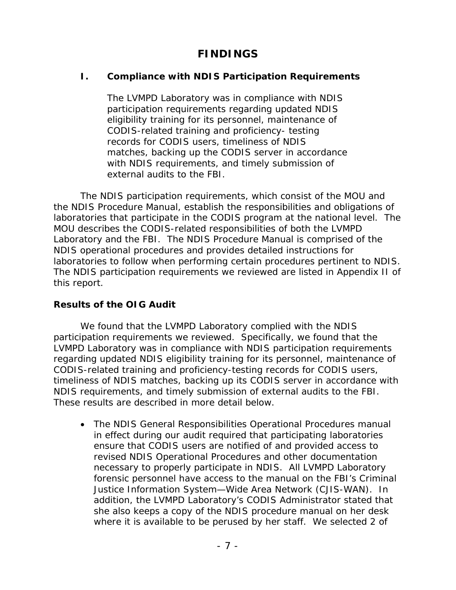# **FINDINGS**

## **I. Compliance with NDIS Participation Requirements**

The LVMPD Laboratory was in compliance with NDIS participation requirements regarding updated NDIS eligibility training for its personnel, maintenance of CODIS-related training and proficiency- testing records for CODIS users, timeliness of NDIS matches, backing up the CODIS server in accordance with NDIS requirements, and timely submission of external audits to the FBI.

The NDIS participation requirements, which consist of the MOU and the NDIS Procedure Manual, establish the responsibilities and obligations of laboratories that participate in the CODIS program at the national level. The MOU describes the CODIS-related responsibilities of both the LVMPD Laboratory and the FBI. The NDIS Procedure Manual is comprised of the NDIS operational procedures and provides detailed instructions for laboratories to follow when performing certain procedures pertinent to NDIS. The NDIS participation requirements we reviewed are listed in Appendix II of this report.

#### **Results of the OIG Audit**

We found that the LVMPD Laboratory complied with the NDIS participation requirements we reviewed. Specifically, we found that the LVMPD Laboratory was in compliance with NDIS participation requirements regarding updated NDIS eligibility training for its personnel, maintenance of CODIS-related training and proficiency-testing records for CODIS users, timeliness of NDIS matches, backing up its CODIS server in accordance with NDIS requirements, and timely submission of external audits to the FBI. These results are described in more detail below.

• The NDIS General Responsibilities Operational Procedures manual in effect during our audit required that participating laboratories ensure that CODIS users are notified of and provided access to revised NDIS Operational Procedures and other documentation necessary to properly participate in NDIS. All LVMPD Laboratory forensic personnel have access to the manual on the FBI's Criminal Justice Information System—Wide Area Network (CJIS-WAN). In addition, the LVMPD Laboratory's CODIS Administrator stated that she also keeps a copy of the NDIS procedure manual on her desk where it is available to be perused by her staff. We selected 2 of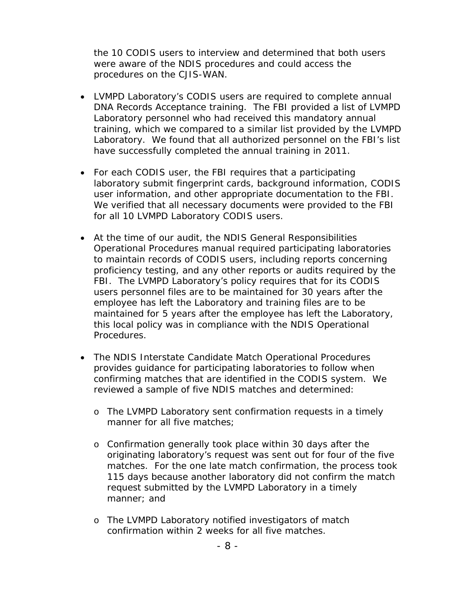the 10 CODIS users to interview and determined that both users were aware of the NDIS procedures and could access the procedures on the CJIS-WAN.

- LVMPD Laboratory's CODIS users are required to complete annual DNA Records Acceptance training. The FBI provided a list of LVMPD Laboratory personnel who had received this mandatory annual training, which we compared to a similar list provided by the LVMPD Laboratory. We found that all authorized personnel on the FBI's list have successfully completed the annual training in 2011.
- For each CODIS user, the FBI requires that a participating laboratory submit fingerprint cards, background information, CODIS user information, and other appropriate documentation to the FBI. We verified that all necessary documents were provided to the FBI for all 10 LVMPD Laboratory CODIS users.
- At the time of our audit, the NDIS General Responsibilities Operational Procedures manual required participating laboratories to maintain records of CODIS users, including reports concerning proficiency testing, and any other reports or audits required by the FBI. The LVMPD Laboratory's policy requires that for its CODIS users personnel files are to be maintained for 30 years after the employee has left the Laboratory and training files are to be maintained for 5 years after the employee has left the Laboratory, this local policy was in compliance with the NDIS Operational Procedures.
- The NDIS Interstate Candidate Match Operational Procedures provides guidance for participating laboratories to follow when confirming matches that are identified in the CODIS system. We reviewed a sample of five NDIS matches and determined:
	- o The LVMPD Laboratory sent confirmation requests in a timely manner for all five matches;
	- o Confirmation generally took place within 30 days after the originating laboratory's request was sent out for four of the five matches. For the one late match confirmation, the process took 115 days because another laboratory did not confirm the match request submitted by the LVMPD Laboratory in a timely manner; and
	- o The LVMPD Laboratory notified investigators of match confirmation within 2 weeks for all five matches.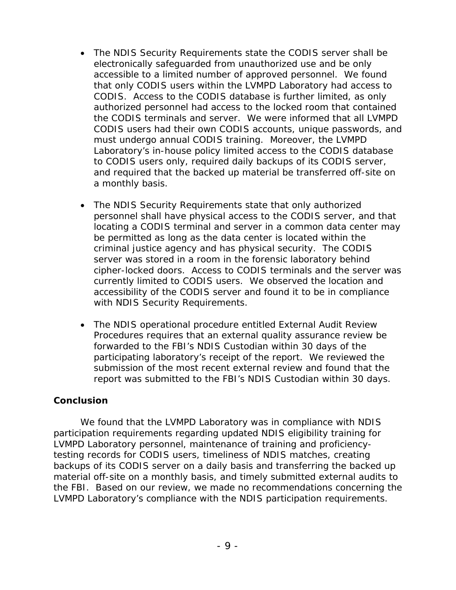- The NDIS Security Requirements state the CODIS server shall be electronically safeguarded from unauthorized use and be only accessible to a limited number of approved personnel. We found that only CODIS users within the LVMPD Laboratory had access to CODIS. Access to the CODIS database is further limited, as only authorized personnel had access to the locked room that contained the CODIS terminals and server. We were informed that all LVMPD CODIS users had their own CODIS accounts, unique passwords, and must undergo annual CODIS training. Moreover, the LVMPD Laboratory's in-house policy limited access to the CODIS database to CODIS users only, required daily backups of its CODIS server, and required that the backed up material be transferred off-site on a monthly basis.
- The NDIS Security Requirements state that only authorized personnel shall have physical access to the CODIS server, and that locating a CODIS terminal and server in a common data center may be permitted as long as the data center is located within the criminal justice agency and has physical security. The CODIS server was stored in a room in the forensic laboratory behind cipher-locked doors. Access to CODIS terminals and the server was currently limited to CODIS users. We observed the location and accessibility of the CODIS server and found it to be in compliance with NDIS Security Requirements.
- The NDIS operational procedure entitled External Audit Review Procedures requires that an external quality assurance review be forwarded to the FBI's NDIS Custodian within 30 days of the participating laboratory's receipt of the report. We reviewed the submission of the most recent external review and found that the report was submitted to the FBI's NDIS Custodian within 30 days.

#### **Conclusion**

We found that the LVMPD Laboratory was in compliance with NDIS participation requirements regarding updated NDIS eligibility training for LVMPD Laboratory personnel, maintenance of training and proficiencytesting records for CODIS users, timeliness of NDIS matches, creating backups of its CODIS server on a daily basis and transferring the backed up material off-site on a monthly basis, and timely submitted external audits to the FBI. Based on our review, we made no recommendations concerning the LVMPD Laboratory's compliance with the NDIS participation requirements.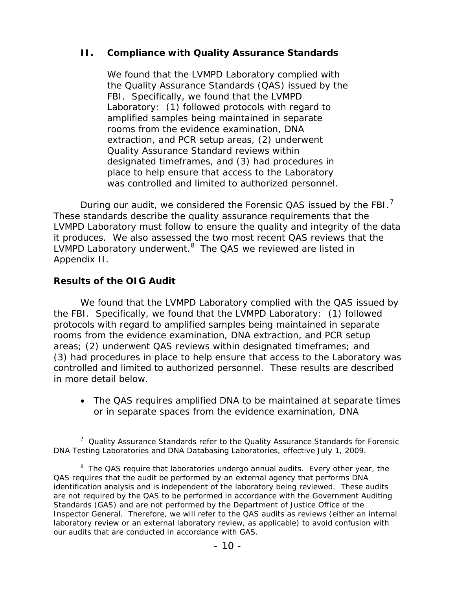## **II. Compliance with Quality Assurance Standards**

We found that the LVMPD Laboratory complied with the Quality Assurance Standards (QAS) issued by the FBI. Specifically, we found that the LVMPD Laboratory: (1) followed protocols with regard to amplified samples being maintained in separate rooms from the evidence examination, DNA extraction, and PCR setup areas, (2) underwent Quality Assurance Standard reviews within designated timeframes, and (3) had procedures in place to help ensure that access to the Laboratory was controlled and limited to authorized personnel.

During our audit, we considered the Forensic QAS issued by the FBI.<sup>[7](#page-14-0)</sup> These standards describe the quality assurance requirements that the LVMPD Laboratory must follow to ensure the quality and integrity of the data it produces. We also assessed the two most recent QAS reviews that the LVMPD Laboratory underwent.<sup>[8](#page-14-1)</sup> The QAS we reviewed are listed in Appendix II.

## **Results of the OIG Audit**

We found that the LVMPD Laboratory complied with the QAS issued by the FBI. Specifically, we found that the LVMPD Laboratory: (1) followed protocols with regard to amplified samples being maintained in separate rooms from the evidence examination, DNA extraction, and PCR setup areas; (2) underwent QAS reviews within designated timeframes; and (3) had procedures in place to help ensure that access to the Laboratory was controlled and limited to authorized personnel. These results are described in more detail below.

• The QAS requires amplified DNA to be maintained at separate times or in separate spaces from the evidence examination, DNA

<span id="page-14-0"></span> $\frac{1}{7}$  $\frac{7}{1}$  Quality Assurance Standards refer to the Quality Assurance Standards for Forensic DNA Testing Laboratories and DNA Databasing Laboratories, effective July 1, 2009.

<span id="page-14-1"></span> $8$  The QAS require that laboratories undergo annual audits. Every other year, the QAS requires that the audit be performed by an external agency that performs DNA identification analysis and is independent of the laboratory being reviewed. These audits are not required by the QAS to be performed in accordance with the *Government Auditing Standards* (GAS) and are not performed by the Department of Justice Office of the Inspector General. Therefore, we will refer to the QAS audits as reviews (either an internal laboratory review or an external laboratory review, as applicable) to avoid confusion with our audits that are conducted in accordance with GAS.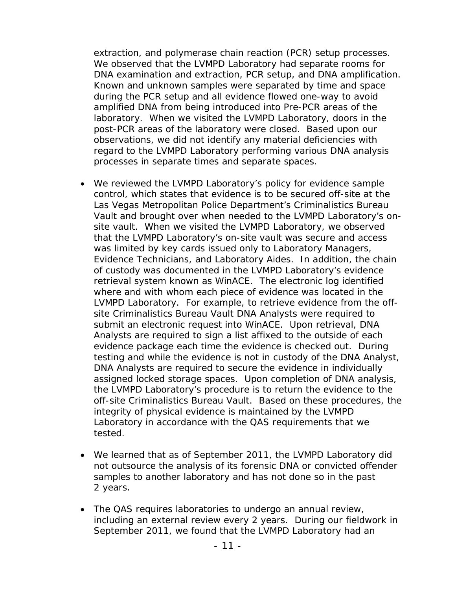extraction, and polymerase chain reaction (PCR) setup processes. We observed that the LVMPD Laboratory had separate rooms for DNA examination and extraction, PCR setup, and DNA amplification. Known and unknown samples were separated by time and space during the PCR setup and all evidence flowed one-way to avoid amplified DNA from being introduced into Pre-PCR areas of the laboratory. When we visited the LVMPD Laboratory, doors in the post-PCR areas of the laboratory were closed. Based upon our observations, we did not identify any material deficiencies with regard to the LVMPD Laboratory performing various DNA analysis processes in separate times and separate spaces.

- We reviewed the LVMPD Laboratory's policy for evidence sample control, which states that evidence is to be secured off-site at the Las Vegas Metropolitan Police Department's Criminalistics Bureau Vault and brought over when needed to the LVMPD Laboratory's onsite vault. When we visited the LVMPD Laboratory, we observed that the LVMPD Laboratory's on-site vault was secure and access was limited by key cards issued only to Laboratory Managers, Evidence Technicians, and Laboratory Aides. In addition, the chain of custody was documented in the LVMPD Laboratory's evidence retrieval system known as WinACE. The electronic log identified where and with whom each piece of evidence was located in the LVMPD Laboratory. For example, to retrieve evidence from the offsite Criminalistics Bureau Vault DNA Analysts were required to submit an electronic request into WinACE. Upon retrieval, DNA Analysts are required to sign a list affixed to the outside of each evidence package each time the evidence is checked out. During testing and while the evidence is not in custody of the DNA Analyst, DNA Analysts are required to secure the evidence in individually assigned locked storage spaces. Upon completion of DNA analysis, the LVMPD Laboratory's procedure is to return the evidence to the off-site Criminalistics Bureau Vault. Based on these procedures, the integrity of physical evidence is maintained by the LVMPD Laboratory in accordance with the QAS requirements that we tested.
- We learned that as of September 2011, the LVMPD Laboratory did not outsource the analysis of its forensic DNA or convicted offender samples to another laboratory and has not done so in the past 2 years.
- The QAS requires laboratories to undergo an annual review, including an external review every 2 years. During our fieldwork in September 2011, we found that the LVMPD Laboratory had an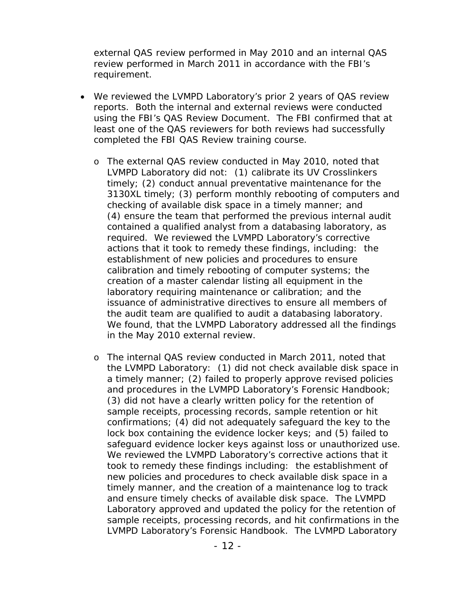external QAS review performed in May 2010 and an internal QAS review performed in March 2011 in accordance with the FBI's requirement.

- We reviewed the LVMPD Laboratory's prior 2 years of QAS review reports. Both the internal and external reviews were conducted using the FBI's QAS Review Document. The FBI confirmed that at least one of the QAS reviewers for both reviews had successfully completed the FBI QAS Review training course.
	- o The external QAS review conducted in May 2010, noted that LVMPD Laboratory did not: (1) calibrate its UV Crosslinkers timely; (2) conduct annual preventative maintenance for the 3130XL timely; (3) perform monthly rebooting of computers and checking of available disk space in a timely manner; and (4) ensure the team that performed the previous internal audit contained a qualified analyst from a databasing laboratory, as required. We reviewed the LVMPD Laboratory's corrective actions that it took to remedy these findings, including: the establishment of new policies and procedures to ensure calibration and timely rebooting of computer systems; the creation of a master calendar listing all equipment in the laboratory requiring maintenance or calibration; and the issuance of administrative directives to ensure all members of the audit team are qualified to audit a databasing laboratory. We found, that the LVMPD Laboratory addressed all the findings in the May 2010 external review.
	- o The internal QAS review conducted in March 2011, noted that the LVMPD Laboratory: (1) did not check available disk space in a timely manner; (2) failed to properly approve revised policies and procedures in the LVMPD Laboratory's Forensic Handbook; (3) did not have a clearly written policy for the retention of sample receipts, processing records, sample retention or hit confirmations; (4) did not adequately safeguard the key to the lock box containing the evidence locker keys; and (5) failed to safeguard evidence locker keys against loss or unauthorized use. We reviewed the LVMPD Laboratory's corrective actions that it took to remedy these findings including: the establishment of new policies and procedures to check available disk space in a timely manner, and the creation of a maintenance log to track and ensure timely checks of available disk space. The LVMPD Laboratory approved and updated the policy for the retention of sample receipts, processing records, and hit confirmations in the LVMPD Laboratory's Forensic Handbook. The LVMPD Laboratory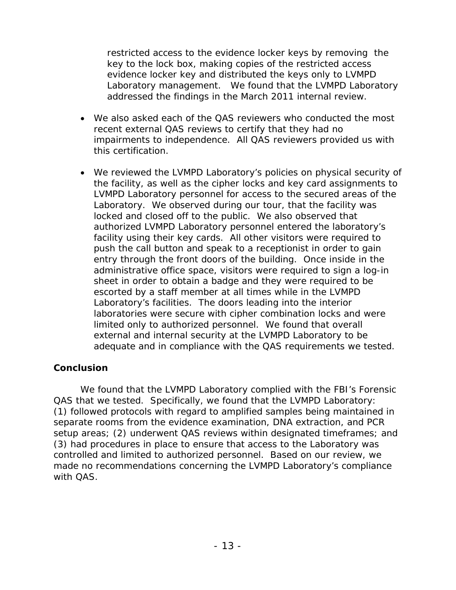restricted access to the evidence locker keys by removing the key to the lock box, making copies of the restricted access evidence locker key and distributed the keys only to LVMPD Laboratory management. We found that the LVMPD Laboratory addressed the findings in the March 2011 internal review.

- We also asked each of the QAS reviewers who conducted the most recent external QAS reviews to certify that they had no impairments to independence. All QAS reviewers provided us with this certification.
- We reviewed the LVMPD Laboratory's policies on physical security of the facility, as well as the cipher locks and key card assignments to LVMPD Laboratory personnel for access to the secured areas of the Laboratory. We observed during our tour, that the facility was locked and closed off to the public. We also observed that authorized LVMPD Laboratory personnel entered the laboratory's facility using their key cards. All other visitors were required to push the call button and speak to a receptionist in order to gain entry through the front doors of the building. Once inside in the administrative office space, visitors were required to sign a log-in sheet in order to obtain a badge and they were required to be escorted by a staff member at all times while in the LVMPD Laboratory's facilities. The doors leading into the interior laboratories were secure with cipher combination locks and were limited only to authorized personnel. We found that overall external and internal security at the LVMPD Laboratory to be adequate and in compliance with the QAS requirements we tested.

## **Conclusion**

We found that the LVMPD Laboratory complied with the FBI's Forensic QAS that we tested. Specifically, we found that the LVMPD Laboratory: (1) followed protocols with regard to amplified samples being maintained in separate rooms from the evidence examination, DNA extraction, and PCR setup areas; (2) underwent QAS reviews within designated timeframes; and (3) had procedures in place to ensure that access to the Laboratory was controlled and limited to authorized personnel. Based on our review, we made no recommendations concerning the LVMPD Laboratory's compliance with QAS.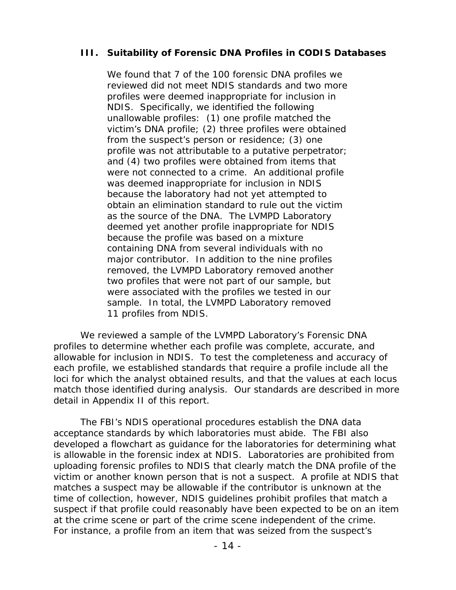### **III. Suitability of Forensic DNA Profiles in CODIS Databases**

We found that 7 of the 100 forensic DNA profiles we reviewed did not meet NDIS standards and two more profiles were deemed inappropriate for inclusion in NDIS. Specifically, we identified the following unallowable profiles: (1) one profile matched the victim's DNA profile; (2) three profiles were obtained from the suspect's person or residence; (3) one profile was not attributable to a putative perpetrator; and (4) two profiles were obtained from items that were not connected to a crime. An additional profile was deemed inappropriate for inclusion in NDIS because the laboratory had not yet attempted to obtain an elimination standard to rule out the victim as the source of the DNA. The LVMPD Laboratory deemed yet another profile inappropriate for NDIS because the profile was based on a mixture containing DNA from several individuals with no major contributor. In addition to the nine profiles removed, the LVMPD Laboratory removed another two profiles that were not part of our sample, but were associated with the profiles we tested in our sample. In total, the LVMPD Laboratory removed 11 profiles from NDIS.

We reviewed a sample of the LVMPD Laboratory's Forensic DNA profiles to determine whether each profile was complete, accurate, and allowable for inclusion in NDIS. To test the completeness and accuracy of each profile, we established standards that require a profile include all the loci for which the analyst obtained results, and that the values at each locus match those identified during analysis. Our standards are described in more detail in Appendix II of this report.

The FBI's NDIS operational procedures establish the DNA data acceptance standards by which laboratories must abide. The FBI also developed a flowchart as guidance for the laboratories for determining what is allowable in the forensic index at NDIS. Laboratories are prohibited from uploading forensic profiles to NDIS that clearly match the DNA profile of the victim or another known person that is not a suspect. A profile at NDIS that matches a suspect may be allowable if the contributor is unknown at the time of collection, however, NDIS guidelines prohibit profiles that match a suspect if that profile could reasonably have been expected to be on an item at the crime scene or part of the crime scene independent of the crime. For instance, a profile from an item that was seized from the suspect's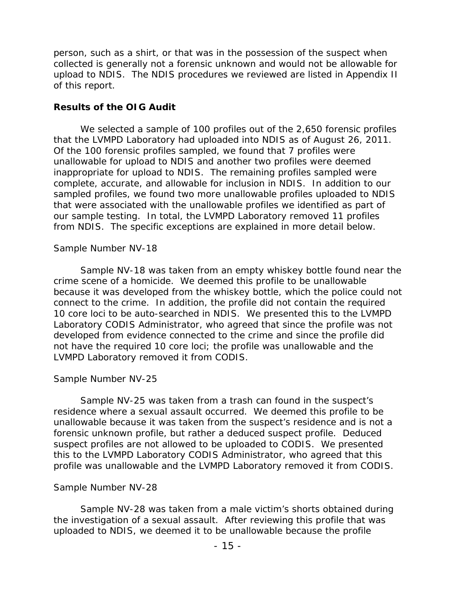person, such as a shirt, or that was in the possession of the suspect when collected is generally not a forensic unknown and would not be allowable for upload to NDIS. The NDIS procedures we reviewed are listed in Appendix II of this report.

#### **Results of the OIG Audit**

We selected a sample of 100 profiles out of the 2,650 forensic profiles that the LVMPD Laboratory had uploaded into NDIS as of August 26, 2011. Of the 100 forensic profiles sampled, we found that 7 profiles were unallowable for upload to NDIS and another two profiles were deemed inappropriate for upload to NDIS. The remaining profiles sampled were complete, accurate, and allowable for inclusion in NDIS. In addition to our sampled profiles, we found two more unallowable profiles uploaded to NDIS that were associated with the unallowable profiles we identified as part of our sample testing. In total, the LVMPD Laboratory removed 11 profiles from NDIS. The specific exceptions are explained in more detail below.

#### *Sample Number NV-18*

Sample NV-18 was taken from an empty whiskey bottle found near the crime scene of a homicide. We deemed this profile to be unallowable because it was developed from the whiskey bottle, which the police could not connect to the crime. In addition, the profile did not contain the required 10 core loci to be auto-searched in NDIS. We presented this to the LVMPD Laboratory CODIS Administrator, who agreed that since the profile was not developed from evidence connected to the crime and since the profile did not have the required 10 core loci; the profile was unallowable and the LVMPD Laboratory removed it from CODIS.

#### *Sample Number NV-25*

Sample NV-25 was taken from a trash can found in the suspect's residence where a sexual assault occurred. We deemed this profile to be unallowable because it was taken from the suspect's residence and is not a forensic unknown profile, but rather a deduced suspect profile. Deduced suspect profiles are not allowed to be uploaded to CODIS. We presented this to the LVMPD Laboratory CODIS Administrator, who agreed that this profile was unallowable and the LVMPD Laboratory removed it from CODIS.

#### *Sample Number NV-28*

Sample NV-28 was taken from a male victim's shorts obtained during the investigation of a sexual assault. After reviewing this profile that was uploaded to NDIS, we deemed it to be unallowable because the profile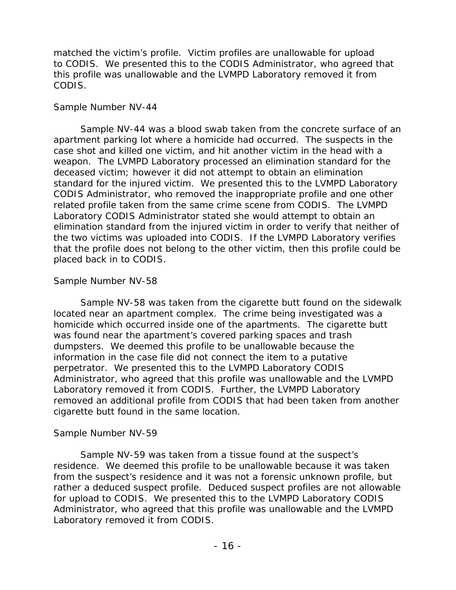matched the victim's profile. Victim profiles are unallowable for upload to CODIS. We presented this to the CODIS Administrator, who agreed that this profile was unallowable and the LVMPD Laboratory removed it from CODIS.

#### *Sample Number NV-44*

Sample NV-44 was a blood swab taken from the concrete surface of an apartment parking lot where a homicide had occurred. The suspects in the case shot and killed one victim, and hit another victim in the head with a weapon. The LVMPD Laboratory processed an elimination standard for the deceased victim; however it did not attempt to obtain an elimination standard for the injured victim. We presented this to the LVMPD Laboratory CODIS Administrator, who removed the inappropriate profile and one other related profile taken from the same crime scene from CODIS. The LVMPD Laboratory CODIS Administrator stated she would attempt to obtain an elimination standard from the injured victim in order to verify that neither of the two victims was uploaded into CODIS. If the LVMPD Laboratory verifies that the profile does not belong to the other victim, then this profile could be placed back in to CODIS.

## *Sample Number NV-58*

Sample NV-58 was taken from the cigarette butt found on the sidewalk located near an apartment complex. The crime being investigated was a homicide which occurred inside one of the apartments. The cigarette butt was found near the apartment's covered parking spaces and trash dumpsters. We deemed this profile to be unallowable because the information in the case file did not connect the item to a putative perpetrator. We presented this to the LVMPD Laboratory CODIS Administrator, who agreed that this profile was unallowable and the LVMPD Laboratory removed it from CODIS. Further, the LVMPD Laboratory removed an additional profile from CODIS that had been taken from another cigarette butt found in the same location.

## *Sample Number NV-59*

Sample NV-59 was taken from a tissue found at the suspect's residence. We deemed this profile to be unallowable because it was taken from the suspect's residence and it was not a forensic unknown profile, but rather a deduced suspect profile. Deduced suspect profiles are not allowable for upload to CODIS. We presented this to the LVMPD Laboratory CODIS Administrator, who agreed that this profile was unallowable and the LVMPD Laboratory removed it from CODIS.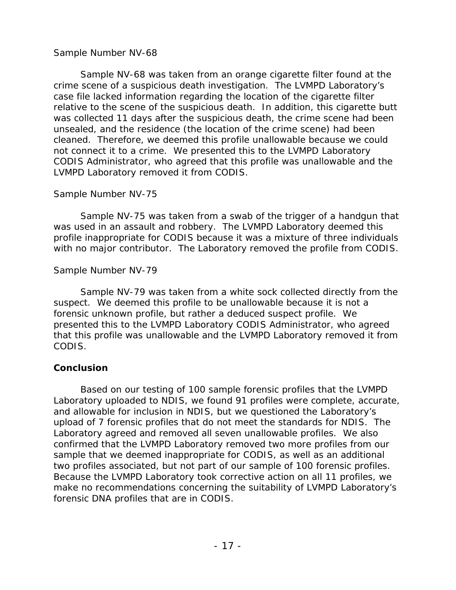#### *Sample Number NV-68*

Sample NV-68 was taken from an orange cigarette filter found at the crime scene of a suspicious death investigation. The LVMPD Laboratory's case file lacked information regarding the location of the cigarette filter relative to the scene of the suspicious death. In addition, this cigarette butt was collected 11 days after the suspicious death, the crime scene had been unsealed, and the residence (the location of the crime scene) had been cleaned. Therefore, we deemed this profile unallowable because we could not connect it to a crime. We presented this to the LVMPD Laboratory CODIS Administrator, who agreed that this profile was unallowable and the LVMPD Laboratory removed it from CODIS.

#### *Sample Number NV-75*

Sample NV-75 was taken from a swab of the trigger of a handgun that was used in an assault and robbery. The LVMPD Laboratory deemed this profile inappropriate for CODIS because it was a mixture of three individuals with no major contributor. The Laboratory removed the profile from CODIS.

## *Sample Number NV-79*

Sample NV-79 was taken from a white sock collected directly from the suspect. We deemed this profile to be unallowable because it is not a forensic unknown profile, but rather a deduced suspect profile. We presented this to the LVMPD Laboratory CODIS Administrator, who agreed that this profile was unallowable and the LVMPD Laboratory removed it from CODIS.

## **Conclusion**

Based on our testing of 100 sample forensic profiles that the LVMPD Laboratory uploaded to NDIS, we found 91 profiles were complete, accurate, and allowable for inclusion in NDIS, but we questioned the Laboratory's upload of 7 forensic profiles that do not meet the standards for NDIS. The Laboratory agreed and removed all seven unallowable profiles. We also confirmed that the LVMPD Laboratory removed two more profiles from our sample that we deemed inappropriate for CODIS, as well as an additional two profiles associated, but not part of our sample of 100 forensic profiles. Because the LVMPD Laboratory took corrective action on all 11 profiles, we make no recommendations concerning the suitability of LVMPD Laboratory's forensic DNA profiles that are in CODIS.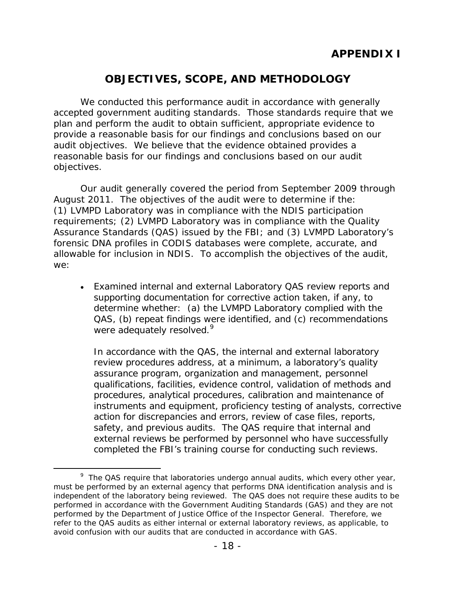# **OBJECTIVES, SCOPE, AND METHODOLOGY**

We conducted this performance audit in accordance with generally accepted government auditing standards. Those standards require that we plan and perform the audit to obtain sufficient, appropriate evidence to provide a reasonable basis for our findings and conclusions based on our audit objectives. We believe that the evidence obtained provides a reasonable basis for our findings and conclusions based on our audit objectives.

Our audit generally covered the period from September 2009 through August 2011. The objectives of the audit were to determine if the: (1) LVMPD Laboratory was in compliance with the NDIS participation requirements; (2) LVMPD Laboratory was in compliance with the Quality Assurance Standards (QAS) issued by the FBI; and (3) LVMPD Laboratory's forensic DNA profiles in CODIS databases were complete, accurate, and allowable for inclusion in NDIS. To accomplish the objectives of the audit, we:

• Examined internal and external Laboratory QAS review reports and supporting documentation for corrective action taken, if any, to determine whether: (a) the LVMPD Laboratory complied with the QAS, (b) repeat findings were identified, and (c) recommendations were adequately resolved.<sup>[9](#page-22-0)</sup>

In accordance with the QAS, the internal and external laboratory review procedures address, at a minimum, a laboratory's quality assurance program, organization and management, personnel qualifications, facilities, evidence control, validation of methods and procedures, analytical procedures, calibration and maintenance of instruments and equipment, proficiency testing of analysts, corrective action for discrepancies and errors, review of case files, reports, safety, and previous audits. The QAS require that internal and external reviews be performed by personnel who have successfully completed the FBI's training course for conducting such reviews.

<span id="page-22-0"></span><sup>&</sup>lt;sup>9</sup> The QAS require that laboratories undergo annual audits, which every other year, must be performed by an external agency that performs DNA identification analysis and is independent of the laboratory being reviewed. The QAS does not require these audits to be performed in accordance with the *Government Auditing Standards* (GAS) and they are not performed by the Department of Justice Office of the Inspector General. Therefore, we refer to the QAS audits as either internal or external laboratory reviews, as applicable, to avoid confusion with our audits that are conducted in accordance with GAS.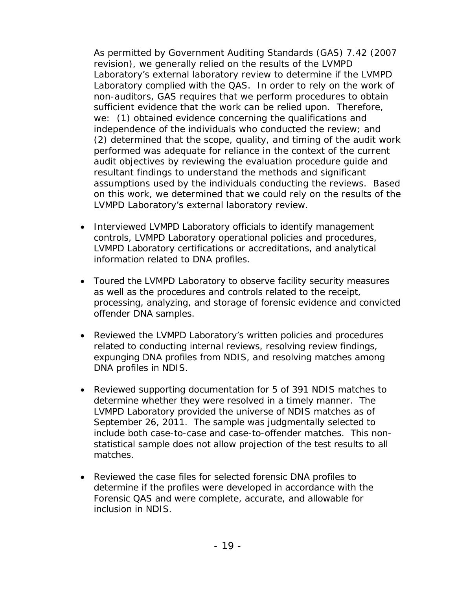As permitted by Government Auditing Standards (GAS) 7.42 (2007 revision), we generally relied on the results of the LVMPD Laboratory's external laboratory review to determine if the LVMPD Laboratory complied with the QAS. In order to rely on the work of non-auditors, GAS requires that we perform procedures to obtain sufficient evidence that the work can be relied upon. Therefore, we: (1) obtained evidence concerning the qualifications and independence of the individuals who conducted the review; and (2) determined that the scope, quality, and timing of the audit work performed was adequate for reliance in the context of the current audit objectives by reviewing the evaluation procedure guide and resultant findings to understand the methods and significant assumptions used by the individuals conducting the reviews. Based on this work, we determined that we could rely on the results of the LVMPD Laboratory's external laboratory review.

- Interviewed LVMPD Laboratory officials to identify management controls, LVMPD Laboratory operational policies and procedures, LVMPD Laboratory certifications or accreditations, and analytical information related to DNA profiles.
- Toured the LVMPD Laboratory to observe facility security measures as well as the procedures and controls related to the receipt, processing, analyzing, and storage of forensic evidence and convicted offender DNA samples.
- Reviewed the LVMPD Laboratory's written policies and procedures related to conducting internal reviews, resolving review findings, expunging DNA profiles from NDIS, and resolving matches among DNA profiles in NDIS.
- Reviewed supporting documentation for 5 of 391 NDIS matches to determine whether they were resolved in a timely manner. The LVMPD Laboratory provided the universe of NDIS matches as of September 26, 2011. The sample was judgmentally selected to include both case-to-case and case-to-offender matches. This nonstatistical sample does not allow projection of the test results to all matches.
- Reviewed the case files for selected forensic DNA profiles to determine if the profiles were developed in accordance with the Forensic QAS and were complete, accurate, and allowable for inclusion in NDIS.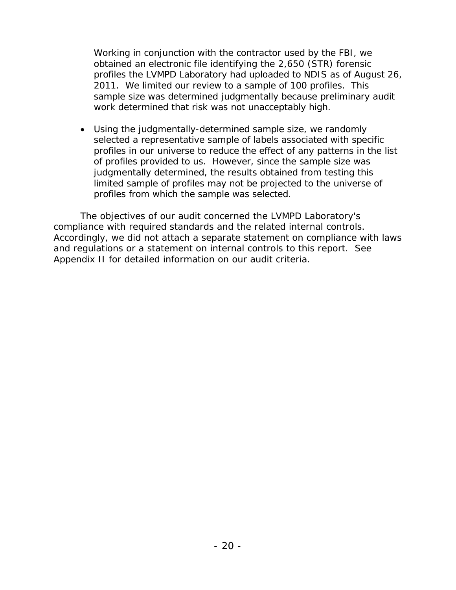Working in conjunction with the contractor used by the FBI, we obtained an electronic file identifying the 2,650 (STR) forensic profiles the LVMPD Laboratory had uploaded to NDIS as of August 26, 2011. We limited our review to a sample of 100 profiles. This sample size was determined judgmentally because preliminary audit work determined that risk was not unacceptably high.

• Using the judgmentally-determined sample size, we randomly selected a representative sample of labels associated with specific profiles in our universe to reduce the effect of any patterns in the list of profiles provided to us. However, since the sample size was judgmentally determined, the results obtained from testing this limited sample of profiles may not be projected to the universe of profiles from which the sample was selected.

The objectives of our audit concerned the LVMPD Laboratory's compliance with required standards and the related internal controls. Accordingly, we did not attach a separate statement on compliance with laws and regulations or a statement on internal controls to this report. See Appendix II for detailed information on our audit criteria.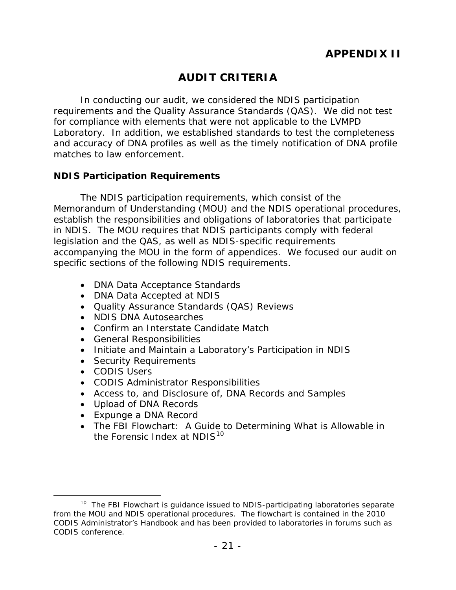# **AUDIT CRITERIA**

In conducting our audit, we considered the NDIS participation requirements and the Quality Assurance Standards (QAS). We did not test for compliance with elements that were not applicable to the LVMPD Laboratory. In addition, we established standards to test the completeness and accuracy of DNA profiles as well as the timely notification of DNA profile matches to law enforcement.

#### **NDIS Participation Requirements**

The NDIS participation requirements, which consist of the Memorandum of Understanding (MOU) and the NDIS operational procedures, establish the responsibilities and obligations of laboratories that participate in NDIS. The MOU requires that NDIS participants comply with federal legislation and the QAS, as well as NDIS-specific requirements accompanying the MOU in the form of appendices. We focused our audit on specific sections of the following NDIS requirements.

- DNA Data Acceptance Standards
- DNA Data Accepted at NDIS
- Quality Assurance Standards (QAS) Reviews
- NDIS DNA Autosearches
- Confirm an Interstate Candidate Match
- General Responsibilities
- Initiate and Maintain a Laboratory's Participation in NDIS
- Security Requirements
- CODIS Users
- CODIS Administrator Responsibilities
- Access to, and Disclosure of, DNA Records and Samples
- Upload of DNA Records
- Expunge a DNA Record
- The FBI Flowchart: A Guide to Determining What is Allowable in the Forensic Index at NDIS<sup>[10](#page-25-0)</sup>

<span id="page-25-0"></span><sup>&</sup>lt;sup>10</sup> The FBI Flowchart is guidance issued to NDIS-participating laboratories separate from the MOU and NDIS operational procedures. The flowchart is contained in the 2010 CODIS Administrator's Handbook and has been provided to laboratories in forums such as CODIS conference.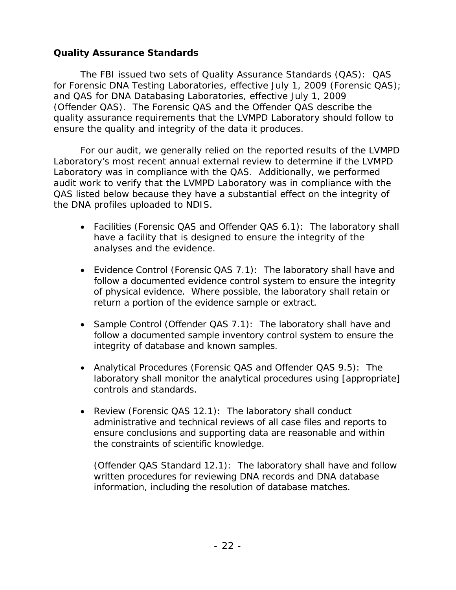## **Quality Assurance Standards**

The FBI issued two sets of Quality Assurance Standards (QAS): QAS for Forensic DNA Testing Laboratories, effective July 1, 2009 (Forensic QAS); and QAS for DNA Databasing Laboratories, effective July 1, 2009 (Offender QAS). The Forensic QAS and the Offender QAS describe the quality assurance requirements that the LVMPD Laboratory should follow to ensure the quality and integrity of the data it produces.

For our audit, we generally relied on the reported results of the LVMPD Laboratory's most recent annual external review to determine if the LVMPD Laboratory was in compliance with the QAS. Additionally, we performed audit work to verify that the LVMPD Laboratory was in compliance with the QAS listed below because they have a substantial effect on the integrity of the DNA profiles uploaded to NDIS.

- Facilities (Forensic QAS and Offender QAS 6.1): The laboratory shall have a facility that is designed to ensure the integrity of the analyses and the evidence.
- Evidence Control (Forensic QAS 7.1): The laboratory shall have and follow a documented evidence control system to ensure the integrity of physical evidence. Where possible, the laboratory shall retain or return a portion of the evidence sample or extract.
- Sample Control (Offender QAS 7.1): The laboratory shall have and follow a documented sample inventory control system to ensure the integrity of database and known samples.
- Analytical Procedures (Forensic QAS and Offender QAS 9.5): The laboratory shall monitor the analytical procedures using [appropriate] controls and standards.
- Review (Forensic QAS 12.1): The laboratory shall conduct administrative and technical reviews of all case files and reports to ensure conclusions and supporting data are reasonable and within the constraints of scientific knowledge.

(Offender QAS Standard 12.1): The laboratory shall have and follow written procedures for reviewing DNA records and DNA database information, including the resolution of database matches.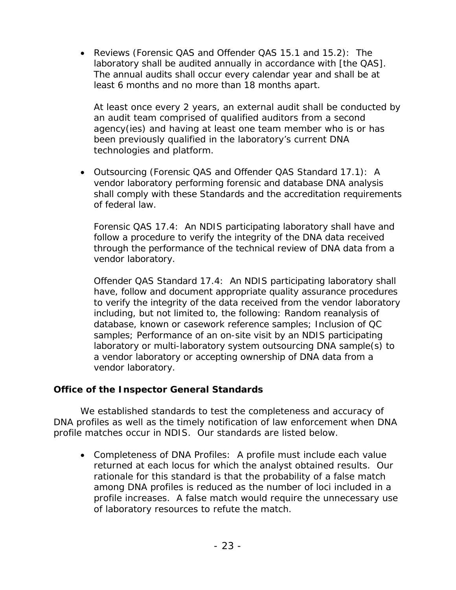• Reviews (Forensic QAS and Offender QAS 15.1 and 15.2): The laboratory shall be audited annually in accordance with [the QAS]. The annual audits shall occur every calendar year and shall be at least 6 months and no more than 18 months apart.

At least once every 2 years, an external audit shall be conducted by an audit team comprised of qualified auditors from a second agency(ies) and having at least one team member who is or has been previously qualified in the laboratory's current DNA technologies and platform.

• Outsourcing (Forensic QAS and Offender QAS Standard 17.1): A vendor laboratory performing forensic and database DNA analysis shall comply with these Standards and the accreditation requirements of federal law.

Forensic QAS 17.4: An NDIS participating laboratory shall have and follow a procedure to verify the integrity of the DNA data received through the performance of the technical review of DNA data from a vendor laboratory.

Offender QAS Standard 17.4: An NDIS participating laboratory shall have, follow and document appropriate quality assurance procedures to verify the integrity of the data received from the vendor laboratory including, but not limited to, the following: Random reanalysis of database, known or casework reference samples; Inclusion of QC samples; Performance of an on-site visit by an NDIS participating laboratory or multi-laboratory system outsourcing DNA sample(s) to a vendor laboratory or accepting ownership of DNA data from a vendor laboratory.

## **Office of the Inspector General Standards**

We established standards to test the completeness and accuracy of DNA profiles as well as the timely notification of law enforcement when DNA profile matches occur in NDIS. Our standards are listed below.

• Completeness of DNA Profiles: A profile must include each value returned at each locus for which the analyst obtained results. Our rationale for this standard is that the probability of a false match among DNA profiles is reduced as the number of loci included in a profile increases. A false match would require the unnecessary use of laboratory resources to refute the match.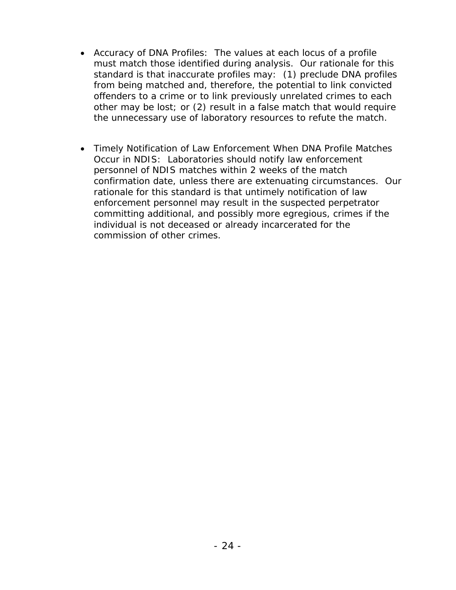- Accuracy of DNA Profiles: The values at each locus of a profile must match those identified during analysis. Our rationale for this standard is that inaccurate profiles may: (1) preclude DNA profiles from being matched and, therefore, the potential to link convicted offenders to a crime or to link previously unrelated crimes to each other may be lost; or (2) result in a false match that would require the unnecessary use of laboratory resources to refute the match.
- Timely Notification of Law Enforcement When DNA Profile Matches Occur in NDIS: Laboratories should notify law enforcement personnel of NDIS matches within 2 weeks of the match confirmation date, unless there are extenuating circumstances. Our rationale for this standard is that untimely notification of law enforcement personnel may result in the suspected perpetrator committing additional, and possibly more egregious, crimes if the individual is not deceased or already incarcerated for the commission of other crimes.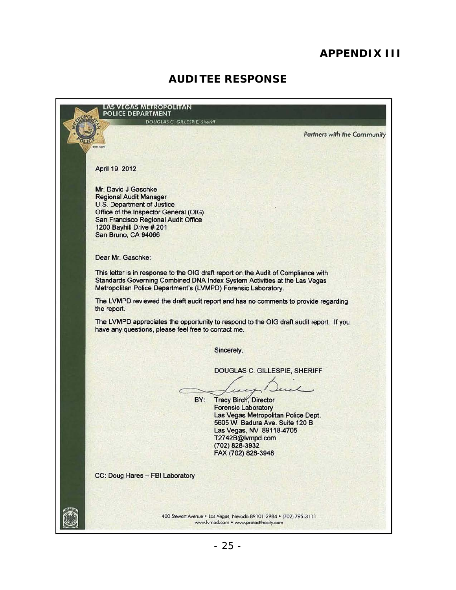# **APPENDIX III**

## **AUDITEE RESPONSE**

LAS VEGAS METROPOLITAN<br>POLICE DEPARTMENT **DOUGLAS C. GILLESPIE, Sheriff Partners with the Community** April 19, 2012 Mr. David J Gaschke Regional Audit Manager U.S. Department of Justice Office of the Inspector General (DIG) San Francisco Regional Audit Office 1200 Bayhill Drive # 201 San Bruno, CA 94066 Dear Mr. Gaschke: This letter is in response to the DIG draft report on the Audit of Compliance with Standards Goveming Combined DNA Index System Activities at the Las Vegas Metropolitan Police Department's (LVMPD) Forensic Laboratory. The LVMPD reviewed the draft audit report and has no comments to provide regarding the report. The LVMPD appreciates the opportunity to respond to the DIG draft audit report. If you have any questions, please feel free to contact me. Sincerely, SILLESPIE, SHERIFF<br>Decident<br>rector DOUGLAS C. GILLESPIE, SHERIFF  $\sum_{\mathbf{p} \in \mathcal{F}}$ BY: Tracy Birch, Director Forensic Laboratory Las Vegas Metropolitan Police Dept. 5605 W. Badura Ave. Suite 120 B Las Vegas, NV 89118-4705 T2742B@lvmpd.com (702) 828-3932 FAX (702) 828-3948 CC: Doug Hares - FBI Laboratory 400 Stewart Avenue • Las Vegas, Nevada 89101-2984 • (702) 795-3111 www.lvmpd.com • www.protectthecity.com